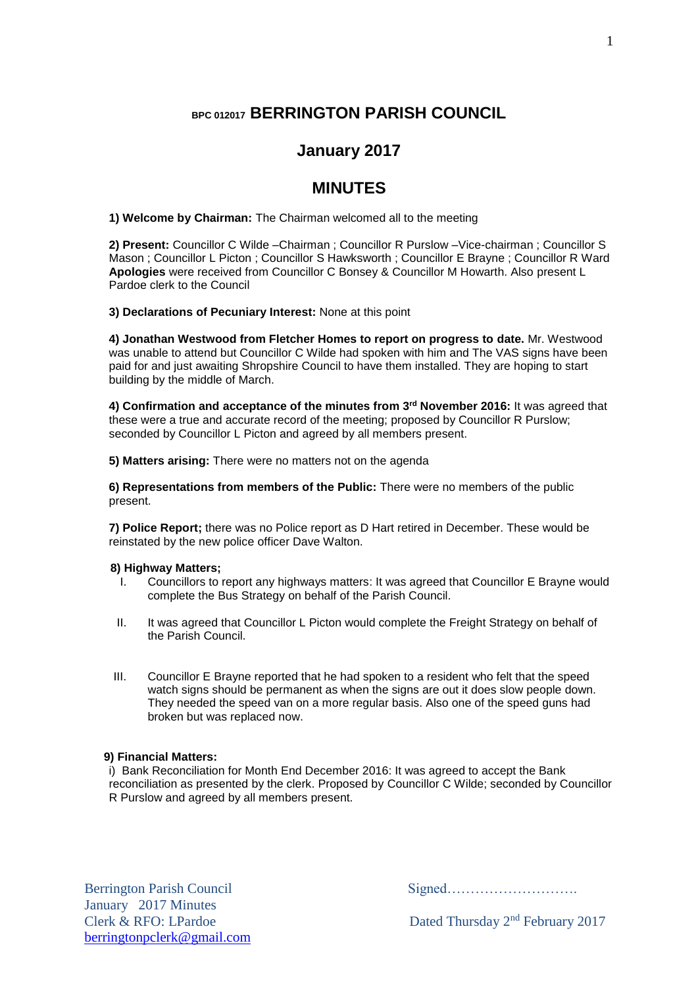# **BPC 012017 BERRINGTON PARISH COUNCIL**

## **January 2017**

## **MINUTES**

**1) Welcome by Chairman:** The Chairman welcomed all to the meeting

**2) Present:** Councillor C Wilde –Chairman ; Councillor R Purslow –Vice-chairman ; Councillor S Mason ; Councillor L Picton ; Councillor S Hawksworth ; Councillor E Brayne ; Councillor R Ward **Apologies** were received from Councillor C Bonsey & Councillor M Howarth. Also present L Pardoe clerk to the Council

**3) Declarations of Pecuniary Interest:** None at this point

**4) Jonathan Westwood from Fletcher Homes to report on progress to date.** Mr. Westwood was unable to attend but Councillor C Wilde had spoken with him and The VAS signs have been paid for and just awaiting Shropshire Council to have them installed. They are hoping to start building by the middle of March.

**4) Confirmation and acceptance of the minutes from 3 rd November 2016:** It was agreed that these were a true and accurate record of the meeting; proposed by Councillor R Purslow; seconded by Councillor L Picton and agreed by all members present.

**5) Matters arising:** There were no matters not on the agenda

**6) Representations from members of the Public:** There were no members of the public present.

**7) Police Report;** there was no Police report as D Hart retired in December. These would be reinstated by the new police officer Dave Walton.

## **8) Highway Matters;**

- I. Councillors to report any highways matters: It was agreed that Councillor E Brayne would complete the Bus Strategy on behalf of the Parish Council.
- II. It was agreed that Councillor L Picton would complete the Freight Strategy on behalf of the Parish Council.
- III. Councillor E Brayne reported that he had spoken to a resident who felt that the speed watch signs should be permanent as when the signs are out it does slow people down. They needed the speed van on a more regular basis. Also one of the speed guns had broken but was replaced now.

## **9) Financial Matters:**

i) Bank Reconciliation for Month End December 2016: It was agreed to accept the Bank reconciliation as presented by the clerk. Proposed by Councillor C Wilde; seconded by Councillor R Purslow and agreed by all members present.

Berrington Parish Council Signed………………………. January 2017 Minutes [berringtonpclerk@gmail.com](mailto:berringtonpclerk@gmail.com)

Clerk & RFO: LPardoe Dated Thursday 2<sup>nd</sup> February 2017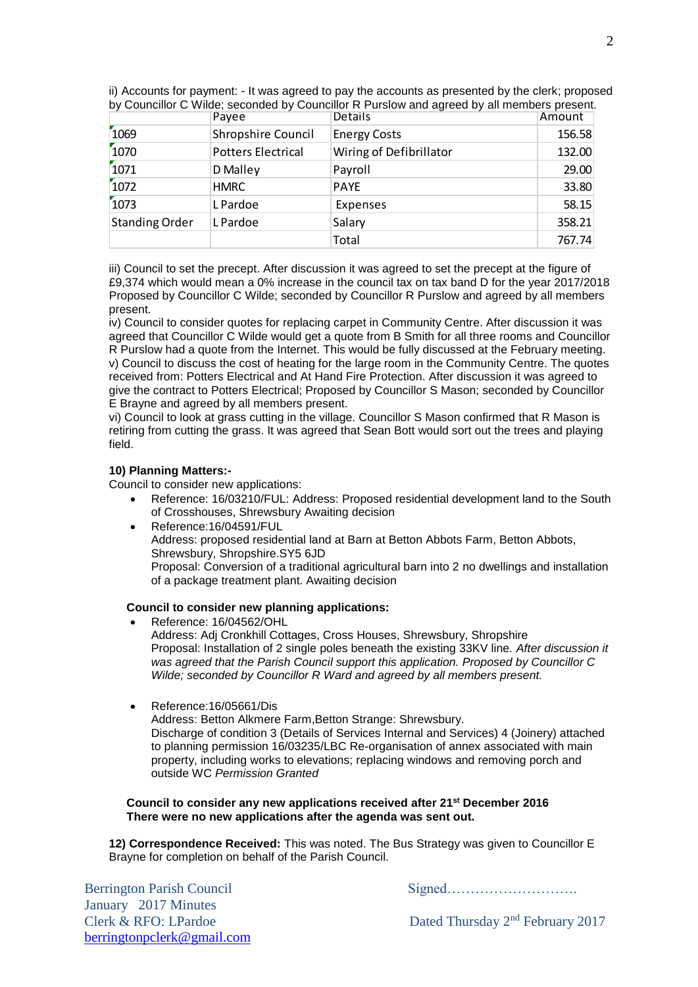|                       | Payee                     | Details                 | Amount |
|-----------------------|---------------------------|-------------------------|--------|
| 1069                  | Shropshire Council        | <b>Energy Costs</b>     | 156.58 |
| 1070                  | <b>Potters Electrical</b> | Wiring of Defibrillator | 132.00 |
| 1071                  | D Malley                  | Payroll                 | 29.00  |
| 1072                  | <b>HMRC</b>               | <b>PAYE</b>             | 33.80  |
| 1073                  | L Pardoe                  | Expenses                | 58.15  |
| <b>Standing Order</b> | L Pardoe                  | Salary                  | 358.21 |
|                       |                           | Total                   | 767.74 |

ii) Accounts for payment: - It was agreed to pay the accounts as presented by the clerk; proposed by Councillor C Wilde; seconded by Councillor R Purslow and agreed by all members present.

iii) Council to set the precept. After discussion it was agreed to set the precept at the figure of £9,374 which would mean a 0% increase in the council tax on tax band D for the year 2017/2018 Proposed by Councillor C Wilde; seconded by Councillor R Purslow and agreed by all members present.

iv) Council to consider quotes for replacing carpet in Community Centre. After discussion it was agreed that Councillor C Wilde would get a quote from B Smith for all three rooms and Councillor R Purslow had a quote from the Internet. This would be fully discussed at the February meeting. v) Council to discuss the cost of heating for the large room in the Community Centre. The quotes received from: Potters Electrical and At Hand Fire Protection. After discussion it was agreed to give the contract to Potters Electrical; Proposed by Councillor S Mason; seconded by Councillor E Brayne and agreed by all members present.

vi) Council to look at grass cutting in the village. Councillor S Mason confirmed that R Mason is retiring from cutting the grass. It was agreed that Sean Bott would sort out the trees and playing field.

## **10) Planning Matters:-**

Council to consider new applications:

- Reference: 16/03210/FUL: Address: Proposed residential development land to the South of Crosshouses, Shrewsbury Awaiting decision
- Reference:16/04591/FUL Address: proposed residential land at Barn at Betton Abbots Farm, Betton Abbots, Shrewsbury, Shropshire.SY5 6JD Proposal: Conversion of a traditional agricultural barn into 2 no dwellings and installation of a package treatment plant. Awaiting decision

#### **Council to consider new planning applications:**

- Reference: 16/04562/OHL Address: Adj Cronkhill Cottages, Cross Houses, Shrewsbury, Shropshire Proposal: Installation of 2 single poles beneath the existing 33KV line. *After discussion it was agreed that the Parish Council support this application. Proposed by Councillor C Wilde; seconded by Councillor R Ward and agreed by all members present.*
- Reference:16/05661/Dis

Address: Betton Alkmere Farm,Betton Strange: Shrewsbury. Discharge of condition 3 (Details of Services Internal and Services) 4 (Joinery) attached to planning permission 16/03235/LBC Re-organisation of annex associated with main property, including works to elevations; replacing windows and removing porch and outside WC *Permission Granted*

#### **Council to consider any new applications received after 21 st December 2016 There were no new applications after the agenda was sent out.**

**12) Correspondence Received:** This was noted. The Bus Strategy was given to Councillor E Brayne for completion on behalf of the Parish Council.

Berrington Parish Council Signed………………………. January 2017 Minutes Clerk & RFO: LPardoe Dated Thursday 2<sup>nd</sup> February 2017 [berringtonpclerk@gmail.com](mailto:berringtonpclerk@gmail.com)